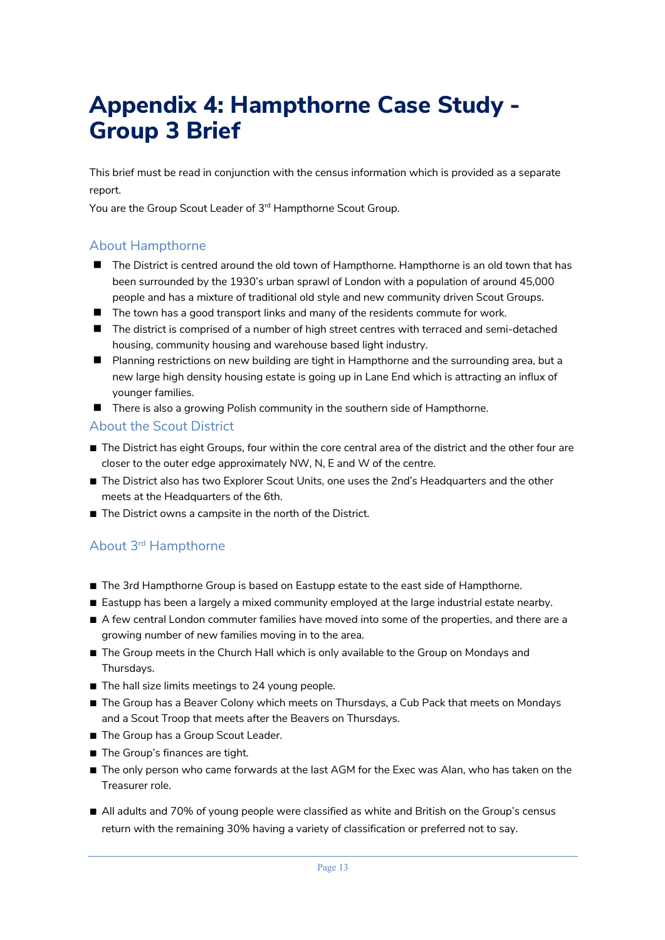## **Appendix 4: Hampthorne Case Study - Group 3 Brief**

This brief must be read in conjunction with the census information which is provided as a separate report.

You are the Group Scout Leader of 3rd Hampthorne Scout Group.

## About Hampthorne

- $\blacksquare$  The District is centred around the old town of Hampthorne. Hampthorne is an old town that has been surrounded by the 1930's urban sprawl of London with a population of around 45,000 people and has a mixture of traditional old style and new community driven Scout Groups.
- $\blacksquare$  The town has a good transport links and many of the residents commute for work.
- The district is comprised of a number of high street centres with terraced and semi-detached housing, community housing and warehouse based light industry.
- **n** Planning restrictions on new building are tight in Hampthorne and the surrounding area, but a new large high density housing estate is going up in Lane End which is attracting an influx of younger families.
- There is also a growing Polish community in the southern side of Hampthorne.

## About the Scout District

- The District has eight Groups, four within the core central area of the district and the other four are closer to the outer edge approximately NW, N, E and W of the centre.
- The District also has two Explorer Scout Units, one uses the 2nd's Headquarters and the other meets at the Headquarters of the 6th.
- The District owns a campsite in the north of the District.

## About 3rd Hampthorne

- The 3rd Hampthorne Group is based on Eastupp estate to the east side of Hampthorne.
- Eastupp has been a largely a mixed community employed at the large industrial estate nearby.
- A few central London commuter families have moved into some of the properties, and there are a growing number of new families moving in to the area.
- The Group meets in the Church Hall which is only available to the Group on Mondays and Thursdays.
- The hall size limits meetings to 24 young people.
- The Group has a Beaver Colony which meets on Thursdays, a Cub Pack that meets on Mondays and a Scout Troop that meets after the Beavers on Thursdays.
- The Group has a Group Scout Leader.
- The Group's finances are tight.
- The only person who came forwards at the last AGM for the Exec was Alan, who has taken on the Treasurer role.
- All adults and 70% of young people were classified as white and British on the Group's census return with the remaining 30% having a variety of classification or preferred not to say.